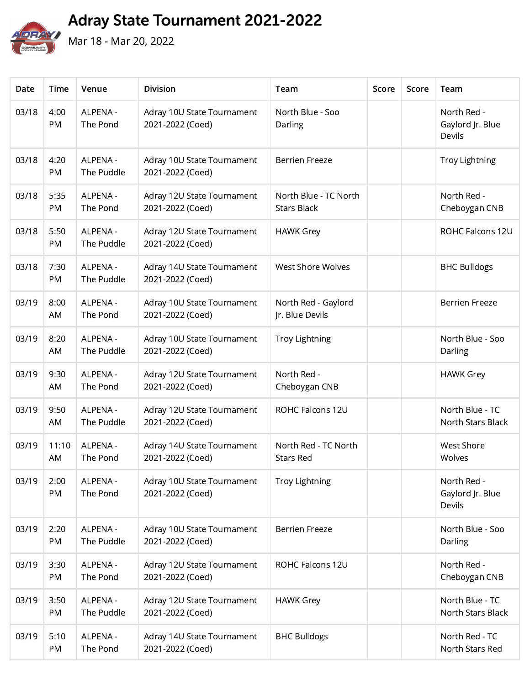Adray State Tournament 2021-2022



Mar 18 - Mar 20, 2022

| Date  | Time        | Venue                  | <b>Division</b>                                | Team                                        | Score | Score | Team                                             |
|-------|-------------|------------------------|------------------------------------------------|---------------------------------------------|-------|-------|--------------------------------------------------|
| 03/18 | 4:00<br>PM  | ALPENA -<br>The Pond   | Adray 10U State Tournament<br>2021-2022 (Coed) | North Blue - Soo<br>Darling                 |       |       | North Red -<br>Gaylord Jr. Blue<br><b>Devils</b> |
| 03/18 | 4:20<br>PM  | ALPENA -<br>The Puddle | Adray 10U State Tournament<br>2021-2022 (Coed) | <b>Berrien Freeze</b>                       |       |       | <b>Troy Lightning</b>                            |
| 03/18 | 5:35<br>PM  | ALPENA -<br>The Pond   | Adray 12U State Tournament<br>2021-2022 (Coed) | North Blue - TC North<br><b>Stars Black</b> |       |       | North Red -<br>Cheboygan CNB                     |
| 03/18 | 5:50<br>PM  | ALPENA -<br>The Puddle | Adray 12U State Tournament<br>2021-2022 (Coed) | <b>HAWK Grey</b>                            |       |       | ROHC Falcons 12U                                 |
| 03/18 | 7:30<br>PM  | ALPENA -<br>The Puddle | Adray 14U State Tournament<br>2021-2022 (Coed) | West Shore Wolves                           |       |       | <b>BHC Bulldogs</b>                              |
| 03/19 | 8:00<br>AM  | ALPENA -<br>The Pond   | Adray 10U State Tournament<br>2021-2022 (Coed) | North Red - Gaylord<br>Jr. Blue Devils      |       |       | <b>Berrien Freeze</b>                            |
| 03/19 | 8:20<br>AM  | ALPENA -<br>The Puddle | Adray 10U State Tournament<br>2021-2022 (Coed) | <b>Troy Lightning</b>                       |       |       | North Blue - Soo<br>Darling                      |
| 03/19 | 9:30<br>AM  | ALPENA -<br>The Pond   | Adray 12U State Tournament<br>2021-2022 (Coed) | North Red -<br>Cheboygan CNB                |       |       | <b>HAWK Grey</b>                                 |
| 03/19 | 9:50<br>AM  | ALPENA -<br>The Puddle | Adray 12U State Tournament<br>2021-2022 (Coed) | ROHC Falcons 12U                            |       |       | North Blue - TC<br>North Stars Black             |
| 03/19 | 11:10<br>AM | ALPENA -<br>The Pond   | Adray 14U State Tournament<br>2021-2022 (Coed) | North Red - TC North<br><b>Stars Red</b>    |       |       | <b>West Shore</b><br>Wolves                      |
| 03/19 | 2:00<br>PM  | ALPENA -<br>The Pond   | Adray 10U State Tournament<br>2021-2022 (Coed) | <b>Troy Lightning</b>                       |       |       | North Red -<br>Gaylord Jr. Blue<br><b>Devils</b> |
| 03/19 | 2:20<br>PM  | ALPENA -<br>The Puddle | Adray 10U State Tournament<br>2021-2022 (Coed) | <b>Berrien Freeze</b>                       |       |       | North Blue - Soo<br>Darling                      |
| 03/19 | 3:30<br>PM  | ALPENA -<br>The Pond   | Adray 12U State Tournament<br>2021-2022 (Coed) | ROHC Falcons 12U                            |       |       | North Red -<br>Cheboygan CNB                     |
| 03/19 | 3:50<br>PM  | ALPENA -<br>The Puddle | Adray 12U State Tournament<br>2021-2022 (Coed) | <b>HAWK Grey</b>                            |       |       | North Blue - TC<br>North Stars Black             |
| 03/19 | 5:10<br>PM  | ALPENA -<br>The Pond   | Adray 14U State Tournament<br>2021-2022 (Coed) | <b>BHC Bulldogs</b>                         |       |       | North Red - TC<br>North Stars Red                |